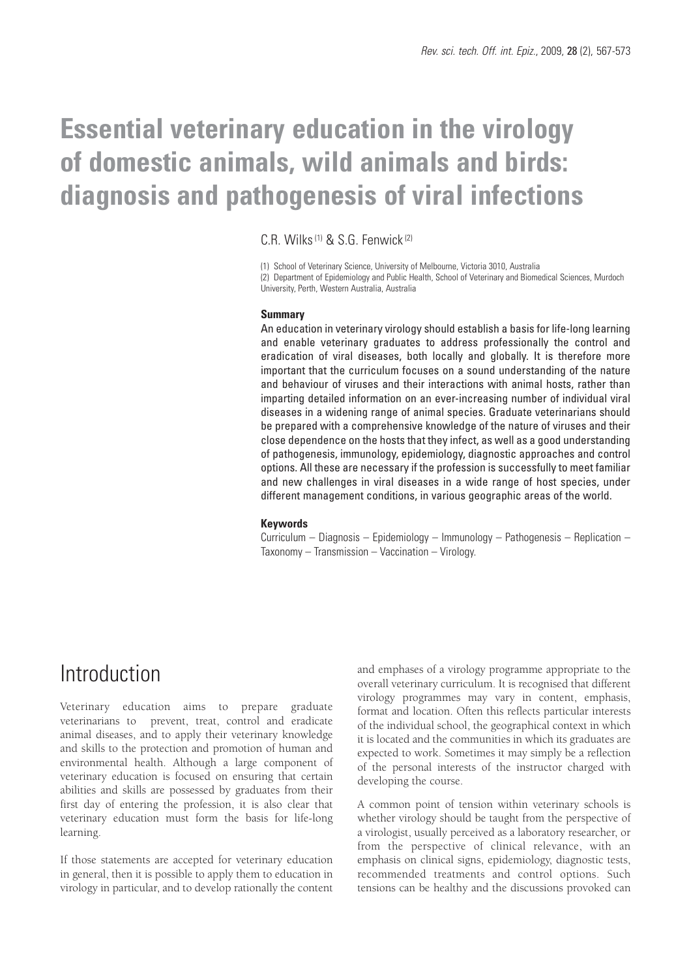# **Essential veterinary education in the virology of domestic animals, wild animals and birds: diagnosis and pathogenesis of viral infections**

C.R. Wilks(1) & S.G. Fenwick(2)

(1) School of Veterinary Science, University of Melbourne, Victoria 3010, Australia (2) Department of Epidemiology and Public Health, School of Veterinary and Biomedical Sciences, Murdoch University, Perth, Western Australia, Australia

#### **Summary**

An education in veterinary virology should establish a basis for life-long learning and enable veterinary graduates to address professionally the control and eradication of viral diseases, both locally and globally. It is therefore more important that the curriculum focuses on a sound understanding of the nature and behaviour of viruses and their interactions with animal hosts, rather than imparting detailed information on an ever-increasing number of individual viral diseases in a widening range of animal species. Graduate veterinarians should be prepared with a comprehensive knowledge of the nature of viruses and their close dependence on the hosts that they infect, as well as a good understanding of pathogenesis, immunology, epidemiology, diagnostic approaches and control options. All these are necessary if the profession is successfully to meet familiar and new challenges in viral diseases in a wide range of host species, under different management conditions, in various geographic areas of the world.

#### **Keywords**

Curriculum – Diagnosis – Epidemiology – Immunology – Pathogenesis – Replication – Taxonomy – Transmission – Vaccination – Virology.

#### Introduction

Veterinary education aims to prepare graduate veterinarians to prevent, treat, control and eradicate animal diseases, and to apply their veterinary knowledge and skills to the protection and promotion of human and environmental health. Although a large component of veterinary education is focused on ensuring that certain abilities and skills are possessed by graduates from their first day of entering the profession, it is also clear that veterinary education must form the basis for life-long learning.

If those statements are accepted for veterinary education in general, then it is possible to apply them to education in virology in particular, and to develop rationally the content

and emphases of a virology programme appropriate to the overall veterinary curriculum. It is recognised that different virology programmes may vary in content, emphasis, format and location. Often this reflects particular interests of the individual school, the geographical context in which it is located and the communities in which its graduates are expected to work. Sometimes it may simply be a reflection of the personal interests of the instructor charged with developing the course.

A common point of tension within veterinary schools is whether virology should be taught from the perspective of a virologist, usually perceived as a laboratory researcher, or from the perspective of clinical relevance, with an emphasis on clinical signs, epidemiology, diagnostic tests, recommended treatments and control options. Such tensions can be healthy and the discussions provoked can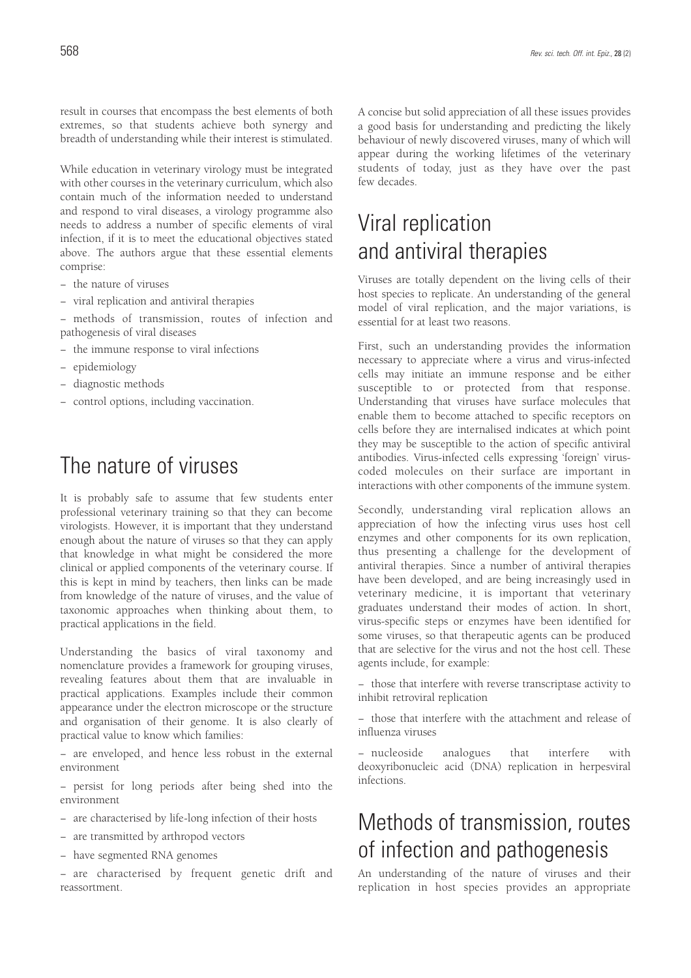result in courses that encompass the best elements of both extremes, so that students achieve both synergy and breadth of understanding while their interest is stimulated.

While education in veterinary virology must be integrated with other courses in the veterinary curriculum, which also contain much of the information needed to understand and respond to viral diseases, a virology programme also needs to address a number of specific elements of viral infection, if it is to meet the educational objectives stated above. The authors argue that these essential elements comprise:

- − the nature of viruses
- − viral replication and antiviral therapies

− methods of transmission, routes of infection and pathogenesis of viral diseases

- − the immune response to viral infections
- − epidemiology
- − diagnostic methods
- − control options, including vaccination.

#### The nature of viruses

It is probably safe to assume that few students enter professional veterinary training so that they can become virologists. However, it is important that they understand enough about the nature of viruses so that they can apply that knowledge in what might be considered the more clinical or applied components of the veterinary course. If this is kept in mind by teachers, then links can be made from knowledge of the nature of viruses, and the value of taxonomic approaches when thinking about them, to practical applications in the field.

Understanding the basics of viral taxonomy and nomenclature provides a framework for grouping viruses, revealing features about them that are invaluable in practical applications. Examples include their common appearance under the electron microscope or the structure and organisation of their genome. It is also clearly of practical value to know which families:

− are enveloped, and hence less robust in the external environment

− persist for long periods after being shed into the environment

- − are characterised by life-long infection of their hosts
- − are transmitted by arthropod vectors
- − have segmented RNA genomes

− are characterised by frequent genetic drift and reassortment.

A concise but solid appreciation of all these issues provides a good basis for understanding and predicting the likely behaviour of newly discovered viruses, many of which will appear during the working lifetimes of the veterinary students of today, just as they have over the past few decades.

## Viral replication and antiviral therapies

Viruses are totally dependent on the living cells of their host species to replicate. An understanding of the general model of viral replication, and the major variations, is essential for at least two reasons.

First, such an understanding provides the information necessary to appreciate where a virus and virus-infected cells may initiate an immune response and be either susceptible to or protected from that response. Understanding that viruses have surface molecules that enable them to become attached to specific receptors on cells before they are internalised indicates at which point they may be susceptible to the action of specific antiviral antibodies. Virus-infected cells expressing 'foreign' viruscoded molecules on their surface are important in interactions with other components of the immune system.

Secondly, understanding viral replication allows an appreciation of how the infecting virus uses host cell enzymes and other components for its own replication, thus presenting a challenge for the development of antiviral therapies. Since a number of antiviral therapies have been developed, and are being increasingly used in veterinary medicine, it is important that veterinary graduates understand their modes of action. In short, virus-specific steps or enzymes have been identified for some viruses, so that therapeutic agents can be produced that are selective for the virus and not the host cell. These agents include, for example:

− those that interfere with reverse transcriptase activity to inhibit retroviral replication

− those that interfere with the attachment and release of influenza viruses

− nucleoside analogues that interfere with deoxyribonucleic acid (DNA) replication in herpesviral infections.

### Methods of transmission, routes of infection and pathogenesis

An understanding of the nature of viruses and their replication in host species provides an appropriate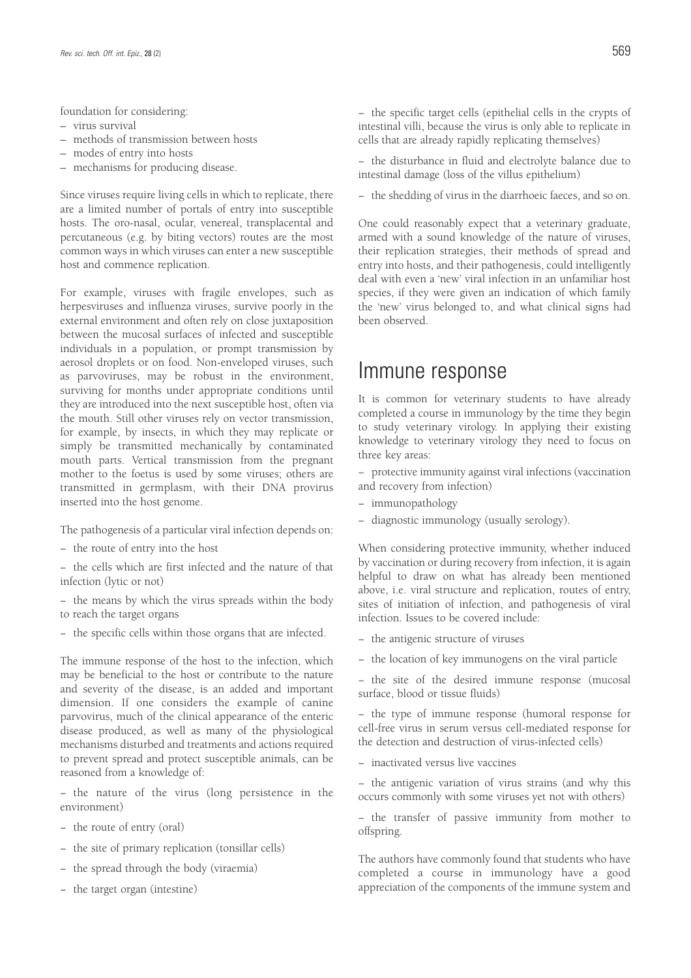foundation for considering:

- virus survival
- methods of transmission between hosts
- modes of entry into hosts
- mechanisms for producing disease.

Since viruses require living cells in which to replicate, there are a limited number of portals of entry into susceptible hosts. The oro-nasal, ocular, venereal, transplacental and percutaneous (e.g. by biting vectors) routes are the most common ways in which viruses can enter a new susceptible host and commence replication.

For example, viruses with fragile envelopes, such as herpesviruses and influenza viruses, survive poorly in the external environment and often rely on close juxtaposition between the mucosal surfaces of infected and susceptible individuals in a population, or prompt transmission by aerosol droplets or on food. Non-enveloped viruses, such as parvoviruses, may be robust in the environment, surviving for months under appropriate conditions until they are introduced into the next susceptible host, often via the mouth. Still other viruses rely on vector transmission, for example, by insects, in which they may replicate or simply be transmitted mechanically by contaminated mouth parts. Vertical transmission from the pregnant mother to the foetus is used by some viruses; others are transmitted in germplasm, with their DNA provirus inserted into the host genome.

The pathogenesis of a particular viral infection depends on:

− the route of entry into the host

− the cells which are first infected and the nature of that infection (lytic or not)

− the means by which the virus spreads within the body to reach the target organs

− the specific cells within those organs that are infected.

The immune response of the host to the infection, which may be beneficial to the host or contribute to the nature and severity of the disease, is an added and important dimension. If one considers the example of canine parvovirus, much of the clinical appearance of the enteric disease produced, as well as many of the physiological mechanisms disturbed and treatments and actions required to prevent spread and protect susceptible animals, can be reasoned from a knowledge of:

− the nature of the virus (long persistence in the environment)

- − the route of entry (oral)
- − the site of primary replication (tonsillar cells)
- − the spread through the body (viraemia)
- − the target organ (intestine)

− the specific target cells (epithelial cells in the crypts of intestinal villi, because the virus is only able to replicate in cells that are already rapidly replicating themselves)

− the disturbance in fluid and electrolyte balance due to intestinal damage (loss of the villus epithelium)

− the shedding of virus in the diarrhoeic faeces, and so on.

One could reasonably expect that a veterinary graduate, armed with a sound knowledge of the nature of viruses, their replication strategies, their methods of spread and entry into hosts, and their pathogenesis, could intelligently deal with even a 'new' viral infection in an unfamiliar host species, if they were given an indication of which family the 'new' virus belonged to, and what clinical signs had been observed.

#### Immune response

It is common for veterinary students to have already completed a course in immunology by the time they begin to study veterinary virology. In applying their existing knowledge to veterinary virology they need to focus on three key areas:

− protective immunity against viral infections (vaccination and recovery from infection)

- − immunopathology
- − diagnostic immunology (usually serology).

When considering protective immunity, whether induced by vaccination or during recovery from infection, it is again helpful to draw on what has already been mentioned above, i.e. viral structure and replication, routes of entry, sites of initiation of infection, and pathogenesis of viral infection. Issues to be covered include:

- − the antigenic structure of viruses
- − the location of key immunogens on the viral particle

− the site of the desired immune response (mucosal surface, blood or tissue fluids)

− the type of immune response (humoral response for cell-free virus in serum versus cell-mediated response for the detection and destruction of virus-infected cells)

− inactivated versus live vaccines

− the antigenic variation of virus strains (and why this occurs commonly with some viruses yet not with others)

− the transfer of passive immunity from mother to offspring.

The authors have commonly found that students who have completed a course in immunology have a good appreciation of the components of the immune system and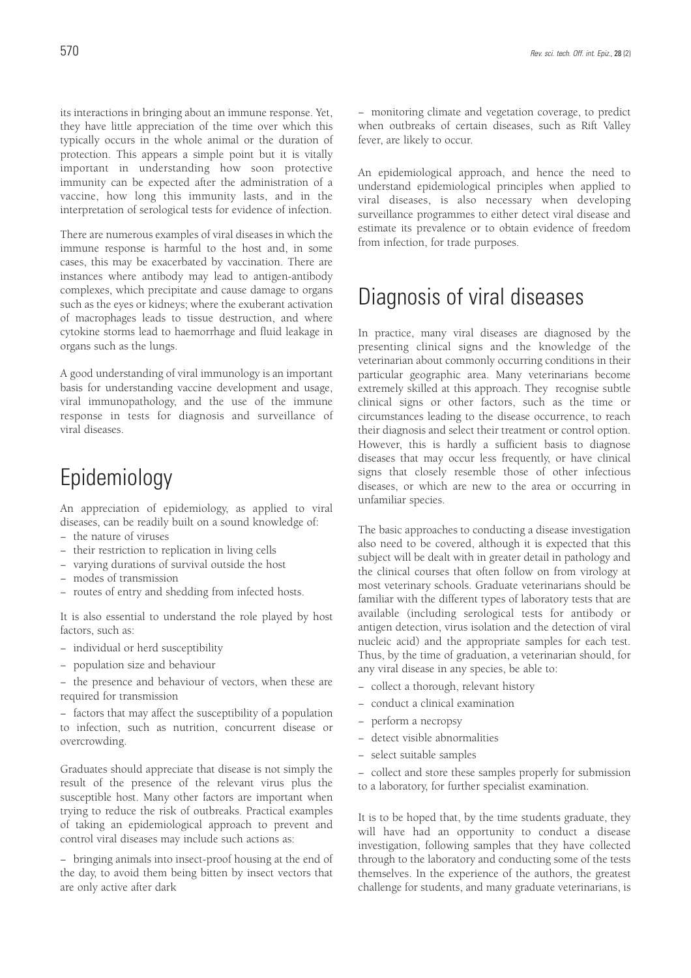its interactions in bringing about an immune response. Yet, they have little appreciation of the time over which this typically occurs in the whole animal or the duration of protection. This appears a simple point but it is vitally important in understanding how soon protective immunity can be expected after the administration of a vaccine, how long this immunity lasts, and in the interpretation of serological tests for evidence of infection.

There are numerous examples of viral diseases in which the immune response is harmful to the host and, in some cases, this may be exacerbated by vaccination. There are instances where antibody may lead to antigen-antibody complexes, which precipitate and cause damage to organs such as the eyes or kidneys; where the exuberant activation of macrophages leads to tissue destruction, and where cytokine storms lead to haemorrhage and fluid leakage in organs such as the lungs.

A good understanding of viral immunology is an important basis for understanding vaccine development and usage, viral immunopathology, and the use of the immune response in tests for diagnosis and surveillance of viral diseases.

### Epidemiology

An appreciation of epidemiology, as applied to viral diseases, can be readily built on a sound knowledge of:

- − the nature of viruses
- − their restriction to replication in living cells
- − varying durations of survival outside the host
- − modes of transmission
- − routes of entry and shedding from infected hosts.

It is also essential to understand the role played by host factors, such as:

- − individual or herd susceptibility
- − population size and behaviour
- − the presence and behaviour of vectors, when these are required for transmission

− factors that may affect the susceptibility of a population to infection, such as nutrition, concurrent disease or overcrowding.

Graduates should appreciate that disease is not simply the result of the presence of the relevant virus plus the susceptible host. Many other factors are important when trying to reduce the risk of outbreaks. Practical examples of taking an epidemiological approach to prevent and control viral diseases may include such actions as:

− bringing animals into insect-proof housing at the end of the day, to avoid them being bitten by insect vectors that are only active after dark

− monitoring climate and vegetation coverage, to predict when outbreaks of certain diseases, such as Rift Valley fever, are likely to occur.

An epidemiological approach, and hence the need to understand epidemiological principles when applied to viral diseases, is also necessary when developing surveillance programmes to either detect viral disease and estimate its prevalence or to obtain evidence of freedom from infection, for trade purposes.

### Diagnosis of viral diseases

In practice, many viral diseases are diagnosed by the presenting clinical signs and the knowledge of the veterinarian about commonly occurring conditions in their particular geographic area. Many veterinarians become extremely skilled at this approach. They recognise subtle clinical signs or other factors, such as the time or circumstances leading to the disease occurrence, to reach their diagnosis and select their treatment or control option. However, this is hardly a sufficient basis to diagnose diseases that may occur less frequently, or have clinical signs that closely resemble those of other infectious diseases, or which are new to the area or occurring in unfamiliar species.

The basic approaches to conducting a disease investigation also need to be covered, although it is expected that this subject will be dealt with in greater detail in pathology and the clinical courses that often follow on from virology at most veterinary schools. Graduate veterinarians should be familiar with the different types of laboratory tests that are available (including serological tests for antibody or antigen detection, virus isolation and the detection of viral nucleic acid) and the appropriate samples for each test. Thus, by the time of graduation, a veterinarian should, for any viral disease in any species, be able to:

- − collect a thorough, relevant history
- − conduct a clinical examination
- − perform a necropsy
- − detect visible abnormalities
- − select suitable samples

− collect and store these samples properly for submission to a laboratory, for further specialist examination.

It is to be hoped that, by the time students graduate, they will have had an opportunity to conduct a disease investigation, following samples that they have collected through to the laboratory and conducting some of the tests themselves. In the experience of the authors, the greatest challenge for students, and many graduate veterinarians, is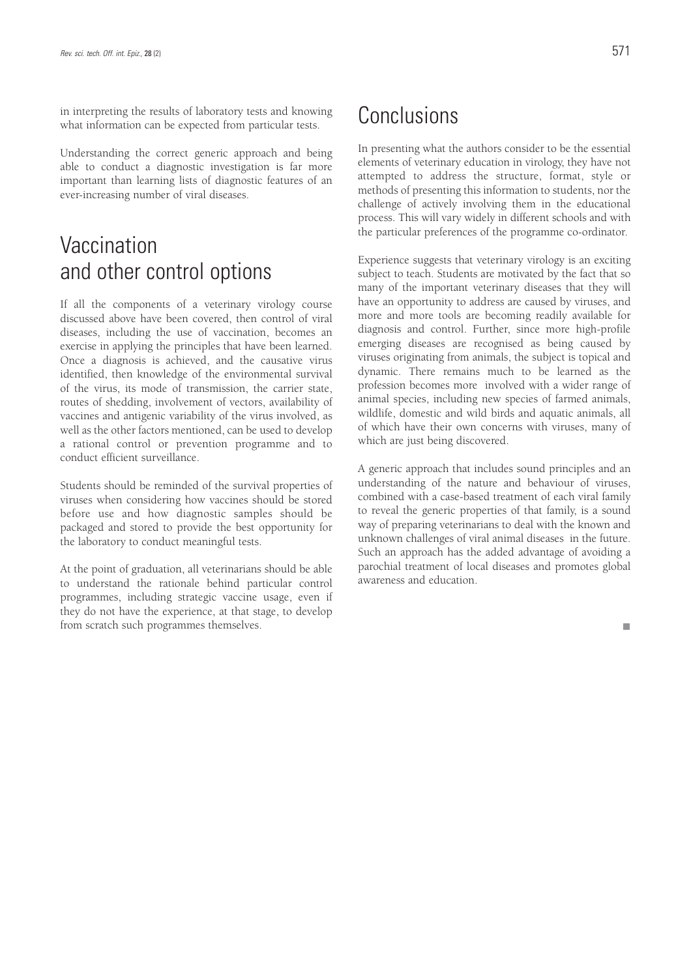in interpreting the results of laboratory tests and knowing what information can be expected from particular tests.

Understanding the correct generic approach and being able to conduct a diagnostic investigation is far more important than learning lists of diagnostic features of an ever-increasing number of viral diseases.

### **Vaccination** and other control options

If all the components of a veterinary virology course discussed above have been covered, then control of viral diseases, including the use of vaccination, becomes an exercise in applying the principles that have been learned. Once a diagnosis is achieved, and the causative virus identified, then knowledge of the environmental survival of the virus, its mode of transmission, the carrier state, routes of shedding, involvement of vectors, availability of vaccines and antigenic variability of the virus involved, as well as the other factors mentioned, can be used to develop a rational control or prevention programme and to conduct efficient surveillance.

Students should be reminded of the survival properties of viruses when considering how vaccines should be stored before use and how diagnostic samples should be packaged and stored to provide the best opportunity for the laboratory to conduct meaningful tests.

At the point of graduation, all veterinarians should be able to understand the rationale behind particular control programmes, including strategic vaccine usage, even if they do not have the experience, at that stage, to develop from scratch such programmes themselves.

### Conclusions

In presenting what the authors consider to be the essential elements of veterinary education in virology, they have not attempted to address the structure, format, style or methods of presenting this information to students, nor the challenge of actively involving them in the educational process. This will vary widely in different schools and with the particular preferences of the programme co-ordinator.

Experience suggests that veterinary virology is an exciting subject to teach. Students are motivated by the fact that so many of the important veterinary diseases that they will have an opportunity to address are caused by viruses, and more and more tools are becoming readily available for diagnosis and control. Further, since more high-profile emerging diseases are recognised as being caused by viruses originating from animals, the subject is topical and dynamic. There remains much to be learned as the profession becomes more involved with a wider range of animal species, including new species of farmed animals, wildlife, domestic and wild birds and aquatic animals, all of which have their own concerns with viruses, many of which are just being discovered.

A generic approach that includes sound principles and an understanding of the nature and behaviour of viruses, combined with a case-based treatment of each viral family to reveal the generic properties of that family, is a sound way of preparing veterinarians to deal with the known and unknown challenges of viral animal diseases in the future. Such an approach has the added advantage of avoiding a parochial treatment of local diseases and promotes global awareness and education.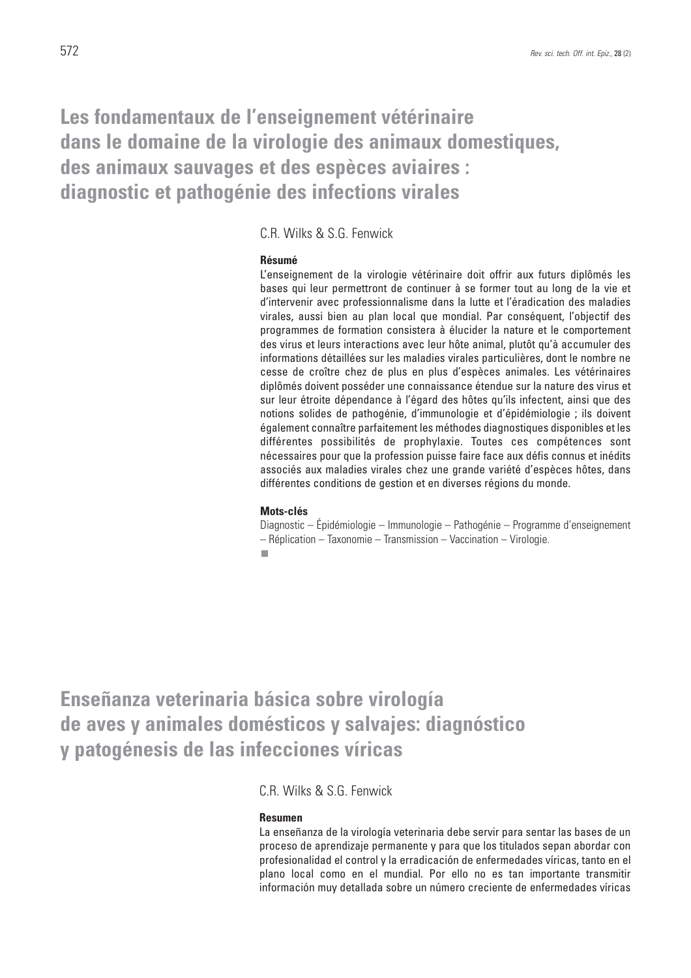### **Les fondamentaux de l'enseignement vétérinaire dans le domaine de la virologie des animaux domestiques, des animaux sauvages et des espèces aviaires : diagnostic et pathogénie des infections virales**

C.R. Wilks & S.G. Fenwick

#### **Résumé**

L'enseignement de la virologie vétérinaire doit offrir aux futurs diplômés les bases qui leur permettront de continuer à se former tout au long de la vie et d'intervenir avec professionnalisme dans la lutte et l'éradication des maladies virales, aussi bien au plan local que mondial. Par conséquent, l'objectif des programmes de formation consistera à élucider la nature et le comportement des virus et leurs interactions avec leur hôte animal, plutôt qu'à accumuler des informations détaillées sur les maladies virales particulières, dont le nombre ne cesse de croître chez de plus en plus d'espèces animales. Les vétérinaires diplômés doivent posséder une connaissance étendue sur la nature des virus et sur leur étroite dépendance à l'égard des hôtes qu'ils infectent, ainsi que des notions solides de pathogénie, d'immunologie et d'épidémiologie ; ils doivent également connaître parfaitement les méthodes diagnostiques disponibles et les différentes possibilités de prophylaxie. Toutes ces compétences sont nécessaires pour que la profession puisse faire face aux défis connus et inédits associés aux maladies virales chez une grande variété d'espèces hôtes, dans différentes conditions de gestion et en diverses régions du monde.

#### **Mots-clés**

Diagnostic – Épidémiologie – Immunologie – Pathogénie – Programme d'enseignement – Réplication – Taxonomie – Transmission – Vaccination – Virologie. ٠

**Enseñanza veterinaria básica sobre virología de aves y animales domésticos y salvajes: diagnóstico y patogénesis de las infecciones víricas**

C.R. Wilks & S.G. Fenwick

#### **Resumen**

La enseñanza de la virología veterinaria debe servir para sentar las bases de un proceso de aprendizaje permanente y para que los titulados sepan abordar con profesionalidad el control y la erradicación de enfermedades víricas, tanto en el plano local como en el mundial. Por ello no es tan importante transmitir información muy detallada sobre un número creciente de enfermedades víricas